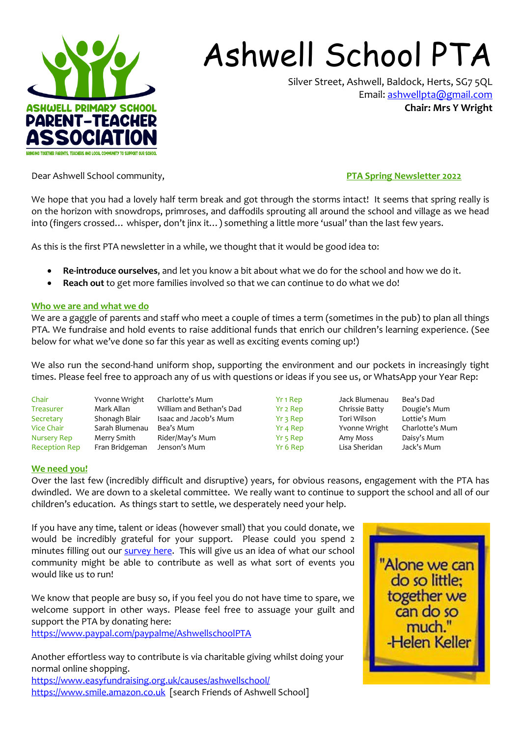

# Ashwell School PTA

Silver Street, Ashwell, Baldock, Herts, SG7 5QL Email: [ashwellpta@gmail.com](mailto:ashwellpta@gmail.com) **Chair: Mrs Y Wright**

Dear Ashwell School community, **PTA Spring Newsletter 2022**

We hope that you had a lovely half term break and got through the storms intact! It seems that spring really is on the horizon with snowdrops, primroses, and daffodils sprouting all around the school and village as we head into (fingers crossed… whisper, don't jinx it…) something a little more 'usual' than the last few years.

As this is the first PTA newsletter in a while, we thought that it would be good idea to:

- **Re-introduce ourselves**, and let you know a bit about what we do for the school and how we do it.
- **Reach out** to get more families involved so that we can continue to do what we do!

### **Who we are and what we do**

We are a gaggle of parents and staff who meet a couple of times a term (sometimes in the pub) to plan all things PTA. We fundraise and hold events to raise additional funds that enrich our children's learning experience. (See below for what we've done so far this year as well as exciting events coming up!)

We also run the second-hand uniform shop, supporting the environment and our pockets in increasingly tight times. Please feel free to approach any of us with questions or ideas if you see us, or WhatsApp your Year Rep:

| Chair                | Yvonne Wright  | Charlotte's Mum          |
|----------------------|----------------|--------------------------|
| Treasurer            | Mark Allan     | William and Bethan's Dad |
| Secretary            | Shonagh Blair  | Isaac and Jacob's Mum    |
| <b>Vice Chair</b>    | Sarah Blumenau | Bea's Mum                |
| <b>Nursery Rep</b>   | Merry Smith    | Rider/May's Mum          |
| <b>Reception Rep</b> | Fran Bridgeman | Jenson's Mum             |

Yr 1 Rep Jack Blumenau Bea's Dad Yr 2 Rep Chrissie Batty Dougie's Mum Yr 3 Rep Tori Wilson Lottie's Mum<br>Yr 4 Rep Yvonne Wright Charlotte's Mum Yvonne Wright Yr 5 Rep **Amy Moss** Daisy's Mum Yr 6 Rep Lisa Sheridan Jack's Mum

### **We need you!**

Over the last few (incredibly difficult and disruptive) years, for obvious reasons, engagement with the PTA has dwindled. We are down to a skeletal committee. We really want to continue to support the school and all of our children's education. As things start to settle, we desperately need your help.

If you have any time, talent or ideas (however small) that you could donate, we would be incredibly grateful for your support. Please could you spend 2 minutes filling out our [survey here.](https://docs.google.com/forms/d/e/1FAIpQLSc8tHEFToQTbv18HDCJBOYuqS-acYvlOWVCTB05lM0hdNGejQ/viewform?usp=sf_link) This will give us an idea of what our school community might be able to contribute as well as what sort of events you would like us to run!

We know that people are busy so, if you feel you do not have time to spare, we welcome support in other ways. Please feel free to assuage your guilt and support the PTA by donating here:

<https://www.paypal.com/paypalme/AshwellschoolPTA>

Another effortless way to contribute is via charitable giving whilst doing your normal online shopping. <https://www.easyfundraising.org.uk/causes/ashwellschool/> [https://www.smile.amazon.co.uk](https://www.smile.amazon.co.uk/) [search Friends of Ashwell School]